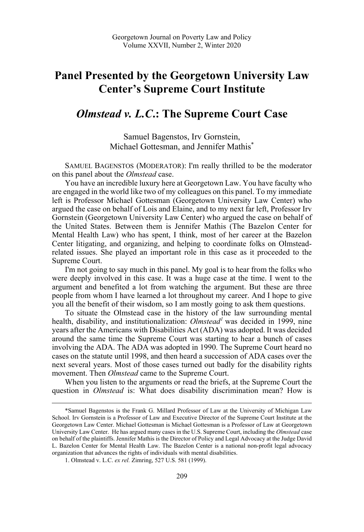## **Panel Presented by the Georgetown University Law Center's Supreme Court Institute**

## *Olmstead v. L.C***.: The Supreme Court Case**

Samuel Bagenstos, Irv Gornstein, Michael Gottesman, and Jennifer Mathis\*

SAMUEL BAGENSTOS (MODERATOR): I'm really thrilled to be the moderator on this panel about the *Olmstead* case.

You have an incredible luxury here at Georgetown Law. You have faculty who are engaged in the world like two of my colleagues on this panel. To my immediate left is Professor Michael Gottesman (Georgetown University Law Center) who argued the case on behalf of Lois and Elaine, and to my next far left, Professor Irv Gornstein (Georgetown University Law Center) who argued the case on behalf of the United States. Between them is Jennifer Mathis (The Bazelon Center for Mental Health Law) who has spent, I think, most of her career at the Bazelon Center litigating, and organizing, and helping to coordinate folks on Olmsteadrelated issues. She played an important role in this case as it proceeded to the Supreme Court.

I'm not going to say much in this panel. My goal is to hear from the folks who were deeply involved in this case. It was a huge case at the time. I went to the argument and benefited a lot from watching the argument. But these are three people from whom I have learned a lot throughout my career. And I hope to give you all the benefit of their wisdom, so I am mostly going to ask them questions.

To situate the Olmstead case in the history of the law surrounding mental health, disability, and institutionalization: *Olmstead<sup>1</sup>* was decided in 1999, nine years after the Americans with Disabilities Act (ADA) was adopted. It was decided around the same time the Supreme Court was starting to hear a bunch of cases involving the ADA. The ADA was adopted in 1990. The Supreme Court heard no cases on the statute until 1998, and then heard a succession of ADA cases over the next several years. Most of those cases turned out badly for the disability rights movement. Then *Olmstead* came to the Supreme Court.

When you listen to the arguments or read the briefs, at the Supreme Court the question in *Olmstead* is: What does disability discrimination mean? How is

 <sup>\*</sup>Samuel Bagenstos is the Frank G. Millard Professor of Law at the University of Michigan Law School. Irv Gornstein is a Professor of Law and Executive Director of the Supreme Court Institute at the Georgetown Law Center. Michael Gottesman is Michael Gottesman is a Professor of Law at Georgetown University Law Center. He has argued many cases in the U.S. Supreme Court, including the *Olmstead* case on behalf of the plaintiffs. Jennifer Mathis is the Director of Policy and Legal Advocacy at the Judge David L. Bazelon Center for Mental Health Law. The Bazelon Center is a national non-profit legal advocacy organization that advances the rights of individuals with mental disabilities.

<sup>1.</sup> Olmstead v. L.C. *ex rel.* Zimring, 527 U.S. 581 (1999).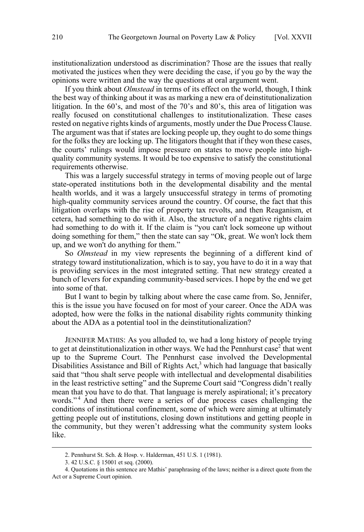institutionalization understood as discrimination? Those are the issues that really motivated the justices when they were deciding the case, if you go by the way the opinions were written and the way the questions at oral argument went.

If you think about *Olmstead* in terms of its effect on the world, though, I think the best way of thinking about it was as marking a new era of deinstitutionalization litigation. In the 60's, and most of the 70's and 80's, this area of litigation was really focused on constitutional challenges to institutionalization. These cases rested on negative rights kinds of arguments, mostly under the Due Process Clause. The argument was that if states are locking people up, they ought to do some things for the folks they are locking up. The litigators thought that if they won these cases, the courts' rulings would impose pressure on states to move people into highquality community systems. It would be too expensive to satisfy the constitutional requirements otherwise.

This was a largely successful strategy in terms of moving people out of large state-operated institutions both in the developmental disability and the mental health worlds, and it was a largely unsuccessful strategy in terms of promoting high-quality community services around the country. Of course, the fact that this litigation overlaps with the rise of property tax revolts, and then Reaganism, et cetera, had something to do with it. Also, the structure of a negative rights claim had something to do with it. If the claim is "you can't lock someone up without doing something for them," then the state can say "Ok, great. We won't lock them up, and we won't do anything for them."

So *Olmstead* in my view represents the beginning of a different kind of strategy toward institutionalization, which is to say, you have to do it in a way that is providing services in the most integrated setting. That new strategy created a bunch of levers for expanding community-based services. I hope by the end we get into some of that.

But I want to begin by talking about where the case came from. So, Jennifer, this is the issue you have focused on for most of your career. Once the ADA was adopted, how were the folks in the national disability rights community thinking about the ADA as a potential tool in the deinstitutionalization?

JENNIFER MATHIS: As you alluded to, we had a long history of people trying to get at deinstitutionalization in other ways. We had the Pennhurst case<sup>2</sup> that went up to the Supreme Court. The Pennhurst case involved the Developmental Disabilities Assistance and Bill of Rights Act,<sup>3</sup> which had language that basically said that "thou shalt serve people with intellectual and developmental disabilities in the least restrictive setting" and the Supreme Court said "Congress didn't really mean that you have to do that. That language is merely aspirational; it's precatory words."<sup>4</sup> And then there were a series of due process cases challenging the conditions of institutional confinement, some of which were aiming at ultimately getting people out of institutions, closing down institutions and getting people in the community, but they weren't addressing what the community system looks like.

 <sup>2.</sup> Pennhurst St. Sch. & Hosp. v. Halderman, 451 U.S. 1 (1981).

<sup>3. 42</sup> U.S.C. § 15001 et seq. (2000).

<sup>4.</sup> Quotations in this sentence are Mathis' paraphrasing of the laws; neither is a direct quote from the Act or a Supreme Court opinion.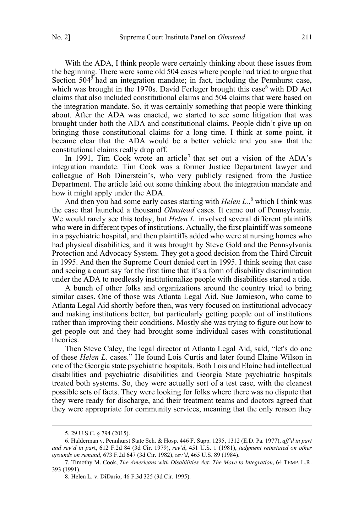With the ADA, I think people were certainly thinking about these issues from the beginning. There were some old 504 cases where people had tried to argue that Section  $504<sup>5</sup>$  had an integration mandate; in fact, including the Pennhurst case, which was brought in the 1970s. David Ferleger brought this case<sup>6</sup> with DD Act claims that also included constitutional claims and 504 claims that were based on the integration mandate. So, it was certainly something that people were thinking about. After the ADA was enacted, we started to see some litigation that was brought under both the ADA and constitutional claims. People didn't give up on bringing those constitutional claims for a long time. I think at some point, it became clear that the ADA would be a better vehicle and you saw that the constitutional claims really drop off.

In 1991, Tim Cook wrote an article<sup>7</sup> that set out a vision of the ADA's integration mandate. Tim Cook was a former Justice Department lawyer and colleague of Bob Dinerstein's, who very publicly resigned from the Justice Department. The article laid out some thinking about the integration mandate and how it might apply under the ADA.

And then you had some early cases starting with *Helen L.*, <sup>8</sup> which I think was the case that launched a thousand *Olmstead* cases. It came out of Pennsylvania. We would rarely see this today, but *Helen L.* involved several different plaintiffs who were in different types of institutions. Actually, the first plaintiff was someone in a psychiatric hospital, and then plaintiffs added who were at nursing homes who had physical disabilities, and it was brought by Steve Gold and the Pennsylvania Protection and Advocacy System. They got a good decision from the Third Circuit in 1995. And then the Supreme Court denied cert in 1995. I think seeing that case and seeing a court say for the first time that it's a form of disability discrimination under the ADA to needlessly institutionalize people with disabilities started a tide.

A bunch of other folks and organizations around the country tried to bring similar cases. One of those was Atlanta Legal Aid. Sue Jamieson, who came to Atlanta Legal Aid shortly before then, was very focused on institutional advocacy and making institutions better, but particularly getting people out of institutions rather than improving their conditions. Mostly she was trying to figure out how to get people out and they had brought some individual cases with constitutional theories.

Then Steve Caley, the legal director at Atlanta Legal Aid, said, "let's do one of these *Helen L.* cases." He found Lois Curtis and later found Elaine Wilson in one of the Georgia state psychiatric hospitals. Both Lois and Elaine had intellectual disabilities and psychiatric disabilities and Georgia State psychiatric hospitals treated both systems. So, they were actually sort of a test case, with the cleanest possible sets of facts. They were looking for folks where there was no dispute that they were ready for discharge, and their treatment teams and doctors agreed that they were appropriate for community services, meaning that the only reason they

 <sup>5. 29</sup> U.S.C. § 794 (2015).

<sup>6.</sup> Halderman v. Pennhurst State Sch. & Hosp. 446 F. Supp. 1295, 1312 (E.D. Pa. 1977), *aff'd in part and rev'd in par*t, 612 F.2d 84 (3d Cir. 1979), *rev'd*, 451 U.S. 1 (1981), *judgment reinstated on other grounds on remand*, 673 F.2d 647 (3d Cir. 1982), r*ev'd*, 465 U.S. 89 (1984).

<sup>7.</sup> Timothy M. Cook, *The Americans with Disabilities Act: The Move to Integration*, 64 TEMP. L.R. 393 (1991).

<sup>8.</sup> Helen L. v. DiDario, 46 F.3d 325 (3d Cir. 1995).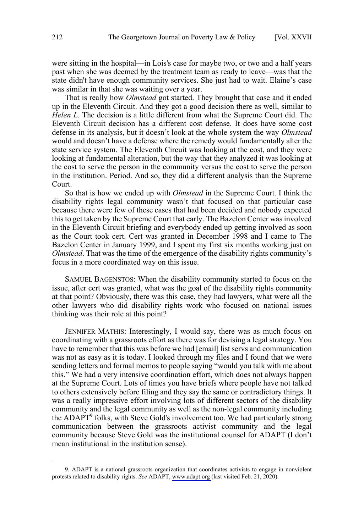were sitting in the hospital—in Lois's case for maybe two, or two and a half years past when she was deemed by the treatment team as ready to leave—was that the state didn't have enough community services. She just had to wait. Elaine's case was similar in that she was waiting over a year.

That is really how *Olmstead* got started. They brought that case and it ended up in the Eleventh Circuit. And they got a good decision there as well, similar to *Helen L.* The decision is a little different from what the Supreme Court did. The Eleventh Circuit decision has a different cost defense. It does have some cost defense in its analysis, but it doesn't look at the whole system the way *Olmstead* would and doesn't have a defense where the remedy would fundamentally alter the state service system. The Eleventh Circuit was looking at the cost, and they were looking at fundamental alteration, but the way that they analyzed it was looking at the cost to serve the person in the community versus the cost to serve the person in the institution. Period. And so, they did a different analysis than the Supreme Court.

So that is how we ended up with *Olmstead* in the Supreme Court. I think the disability rights legal community wasn't that focused on that particular case because there were few of these cases that had been decided and nobody expected this to get taken by the Supreme Court that early. The Bazelon Center was involved in the Eleventh Circuit briefing and everybody ended up getting involved as soon as the Court took cert. Cert was granted in December 1998 and I came to The Bazelon Center in January 1999, and I spent my first six months working just on *Olmstead*. That was the time of the emergence of the disability rights community's focus in a more coordinated way on this issue.

SAMUEL BAGENSTOS: When the disability community started to focus on the issue, after cert was granted, what was the goal of the disability rights community at that point? Obviously, there was this case, they had lawyers, what were all the other lawyers who did disability rights work who focused on national issues thinking was their role at this point?

JENNIFER MATHIS: Interestingly, I would say, there was as much focus on coordinating with a grassroots effort as there was for devising a legal strategy. You have to remember that this was before we had [email] list servs and communication was not as easy as it is today. I looked through my files and I found that we were sending letters and formal memos to people saying "would you talk with me about this." We had a very intensive coordination effort, which does not always happen at the Supreme Court. Lots of times you have briefs where people have not talked to others extensively before filing and they say the same or contradictory things. It was a really impressive effort involving lots of different sectors of the disability community and the legal community as well as the non-legal community including the ADAPT<sup>9</sup> folks, with Steve Gold's involvement too. We had particularly strong communication between the grassroots activist community and the legal community because Steve Gold was the institutional counsel for ADAPT (I don't mean institutional in the institution sense).

 <sup>9.</sup> ADAPT is a national grassroots organization that coordinates activists to engage in nonviolent protests related to disability rights. *See* ADAPT, [www.adapt.org](http://www.adapt.org) (last visited Feb. 21, 2020).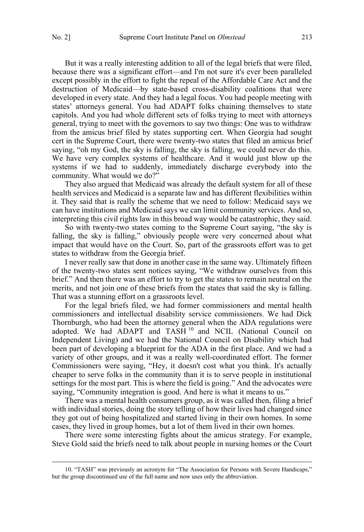But it was a really interesting addition to all of the legal briefs that were filed, because there was a significant effort—and I'm not sure it's ever been paralleled except possibly in the effort to fight the repeal of the Affordable Care Act and the destruction of Medicaid—by state-based cross-disability coalitions that were developed in every state. And they had a legal focus. You had people meeting with states' attorneys general. You had ADAPT folks chaining themselves to state capitols. And you had whole different sets of folks trying to meet with attorneys general, trying to meet with the governors to say two things: One was to withdraw from the amicus brief filed by states supporting cert. When Georgia had sought cert in the Supreme Court, there were twenty-two states that filed an amicus brief saying, "oh my God, the sky is falling, the sky is falling, we could never do this. We have very complex systems of healthcare. And it would just blow up the systems if we had to suddenly, immediately discharge everybody into the community. What would we do?"

They also argued that Medicaid was already the default system for all of these health services and Medicaid is a separate law and has different flexibilities within it. They said that is really the scheme that we need to follow: Medicaid says we can have institutions and Medicaid says we can limit community services. And so, interpreting this civil rights law in this broad way would be catastrophic, they said.

So with twenty-two states coming to the Supreme Court saying, "the sky is falling, the sky is falling," obviously people were very concerned about what impact that would have on the Court. So, part of the grassroots effort was to get states to withdraw from the Georgia brief.

I never really saw that done in another case in the same way. Ultimately fifteen of the twenty-two states sent notices saying, "We withdraw ourselves from this brief." And then there was an effort to try to get the states to remain neutral on the merits, and not join one of these briefs from the states that said the sky is falling. That was a stunning effort on a grassroots level.

For the legal briefs filed, we had former commissioners and mental health commissioners and intellectual disability service commissioners. We had Dick Thornburgh, who had been the attorney general when the ADA regulations were adopted. We had ADAPT and TASH<sup>10</sup> and NCIL (National Council on Independent Living) and we had the National Council on Disability which had been part of developing a blueprint for the ADA in the first place. And we had a variety of other groups, and it was a really well-coordinated effort. The former Commissioners were saying, "Hey, it doesn't cost what you think. It's actually cheaper to serve folks in the community than it is to serve people in institutional settings for the most part. This is where the field is going." And the advocates were saying, "Community integration is good. And here is what it means to us."

There was a mental health consumers group, as it was called then, filing a brief with individual stories, doing the story telling of how their lives had changed since they got out of being hospitalized and started living in their own homes. In some cases, they lived in group homes, but a lot of them lived in their own homes.

There were some interesting fights about the amicus strategy. For example, Steve Gold said the briefs need to talk about people in nursing homes or the Court

 <sup>10. &</sup>quot;TASH" was previously an acronym for "The Association for Persons with Severe Handicaps," but the group discontinued use of the full name and now uses only the abbreviation.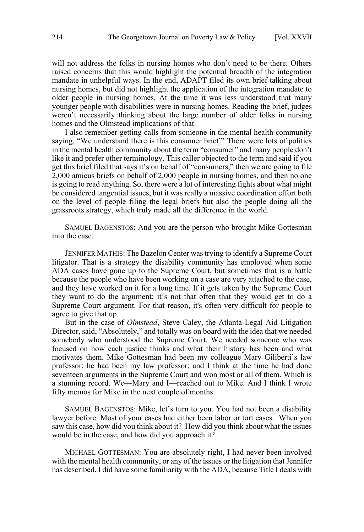will not address the folks in nursing homes who don't need to be there. Others raised concerns that this would highlight the potential breadth of the integration mandate in unhelpful ways. In the end, ADAPT filed its own brief talking about nursing homes, but did not highlight the application of the integration mandate to older people in nursing homes. At the time it was less understood that many younger people with disabilities were in nursing homes. Reading the brief, judges weren't necessarily thinking about the large number of older folks in nursing homes and the Olmstead implications of that.

I also remember getting calls from someone in the mental health community saying, "We understand there is this consumer brief." There were lots of politics in the mental health community about the term "consumer" and many people don't like it and prefer other terminology. This caller objected to the term and said if you get this brief filed that says it's on behalf of "consumers," then we are going to file 2,000 amicus briefs on behalf of 2,000 people in nursing homes, and then no one is going to read anything. So, there were a lot of interesting fights about what might be considered tangential issues, but it was really a massive coordination effort both on the level of people filing the legal briefs but also the people doing all the grassroots strategy, which truly made all the difference in the world.

SAMUEL BAGENSTOS: And you are the person who brought Mike Gottesman into the case.

JENNIFER MATHIS: The Bazelon Center was trying to identify a Supreme Court litigator. That is a strategy the disability community has employed when some ADA cases have gone up to the Supreme Court, but sometimes that is a battle because the people who have been working on a case are very attached to the case, and they have worked on it for a long time. If it gets taken by the Supreme Court they want to do the argument; it's not that often that they would get to do a Supreme Court argument. For that reason, it's often very difficult for people to agree to give that up.

But in the case of *Olmstead*, Steve Caley, the Atlanta Legal Aid Litigation Director, said, "Absolutely," and totally was on board with the idea that we needed somebody who understood the Supreme Court. We needed someone who was focused on how each justice thinks and what their history has been and what motivates them. Mike Gottesman had been my colleague Mary Giliberti's law professor; he had been my law professor; and I think at the time he had done seventeen arguments in the Supreme Court and won most or all of them. Which is a stunning record. We—Mary and I—reached out to Mike. And I think I wrote fifty memos for Mike in the next couple of months.

SAMUEL BAGENSTOS: Mike, let's turn to you. You had not been a disability lawyer before. Most of your cases had either been labor or tort cases. When you saw this case, how did you think about it? How did you think about what the issues would be in the case, and how did you approach it?

MICHAEL GOTTESMAN: You are absolutely right, I had never been involved with the mental health community, or any of the issues or the litigation that Jennifer has described. I did have some familiarity with the ADA, because Title I deals with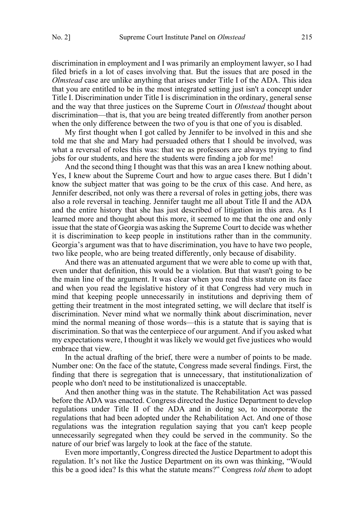discrimination in employment and I was primarily an employment lawyer, so I had filed briefs in a lot of cases involving that. But the issues that are posed in the *Olmstead* case are unlike anything that arises under Title I of the ADA. This idea that you are entitled to be in the most integrated setting just isn't a concept under Title I. Discrimination under Title I is discrimination in the ordinary, general sense and the way that three justices on the Supreme Court in *Olmstead* thought about discrimination—that is, that you are being treated differently from another person when the only difference between the two of you is that one of you is disabled.

My first thought when I got called by Jennifer to be involved in this and she told me that she and Mary had persuaded others that I should be involved, was what a reversal of roles this was: that we as professors are always trying to find jobs for our students, and here the students were finding a job for me!

And the second thing I thought was that this was an area I knew nothing about. Yes, I knew about the Supreme Court and how to argue cases there. But I didn't know the subject matter that was going to be the crux of this case. And here, as Jennifer described, not only was there a reversal of roles in getting jobs, there was also a role reversal in teaching. Jennifer taught me all about Title II and the ADA and the entire history that she has just described of litigation in this area. As I learned more and thought about this more, it seemed to me that the one and only issue that the state of Georgia was asking the Supreme Court to decide was whether it is discrimination to keep people in institutions rather than in the community. Georgia's argument was that to have discrimination, you have to have two people, two like people, who are being treated differently, only because of disability.

And there was an attenuated argument that we were able to come up with that, even under that definition, this would be a violation. But that wasn't going to be the main line of the argument. It was clear when you read this statute on its face and when you read the legislative history of it that Congress had very much in mind that keeping people unnecessarily in institutions and depriving them of getting their treatment in the most integrated setting, we will declare that itself is discrimination. Never mind what we normally think about discrimination, never mind the normal meaning of those words—this is a statute that is saying that is discrimination. So that was the centerpiece of our argument. And if you asked what my expectations were, I thought it was likely we would get five justices who would embrace that view.

In the actual drafting of the brief, there were a number of points to be made. Number one: On the face of the statute, Congress made several findings. First, the finding that there is segregation that is unnecessary, that institutionalization of people who don't need to be institutionalized is unacceptable.

And then another thing was in the statute. The Rehabilitation Act was passed before the ADA was enacted. Congress directed the Justice Department to develop regulations under Title II of the ADA and in doing so, to incorporate the regulations that had been adopted under the Rehabilitation Act. And one of those regulations was the integration regulation saying that you can't keep people unnecessarily segregated when they could be served in the community. So the nature of our brief was largely to look at the face of the statute.

Even more importantly, Congress directed the Justice Department to adopt this regulation. It's not like the Justice Department on its own was thinking, "Would this be a good idea? Is this what the statute means?" Congress *told them* to adopt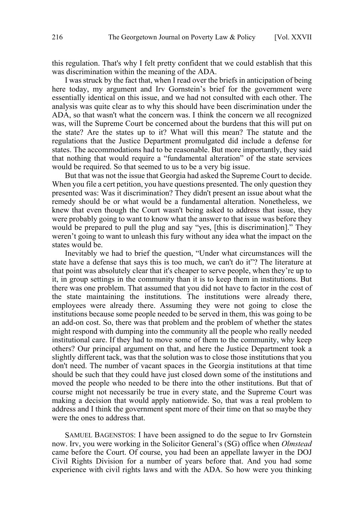this regulation. That's why I felt pretty confident that we could establish that this was discrimination within the meaning of the ADA.

I was struck by the fact that, when I read over the briefs in anticipation of being here today, my argument and Irv Gornstein's brief for the government were essentially identical on this issue, and we had not consulted with each other. The analysis was quite clear as to why this should have been discrimination under the ADA, so that wasn't what the concern was. I think the concern we all recognized was, will the Supreme Court be concerned about the burdens that this will put on the state? Are the states up to it? What will this mean? The statute and the regulations that the Justice Department promulgated did include a defense for states. The accommodations had to be reasonable. But more importantly, they said that nothing that would require a "fundamental alteration" of the state services would be required. So that seemed to us to be a very big issue.

But that was not the issue that Georgia had asked the Supreme Court to decide. When you file a cert petition, you have questions presented. The only question they presented was: Was it discrimination? They didn't present an issue about what the remedy should be or what would be a fundamental alteration. Nonetheless, we knew that even though the Court wasn't being asked to address that issue, they were probably going to want to know what the answer to that issue was before they would be prepared to pull the plug and say "yes, [this is discrimination]." They weren't going to want to unleash this fury without any idea what the impact on the states would be.

Inevitably we had to brief the question, "Under what circumstances will the state have a defense that says this is too much, we can't do it"? The literature at that point was absolutely clear that it's cheaper to serve people, when they're up to it, in group settings in the community than it is to keep them in institutions. But there was one problem. That assumed that you did not have to factor in the cost of the state maintaining the institutions. The institutions were already there, employees were already there. Assuming they were not going to close the institutions because some people needed to be served in them, this was going to be an add-on cost. So, there was that problem and the problem of whether the states might respond with dumping into the community all the people who really needed institutional care. If they had to move some of them to the community, why keep others? Our principal argument on that, and here the Justice Department took a slightly different tack, was that the solution was to close those institutions that you don't need. The number of vacant spaces in the Georgia institutions at that time should be such that they could have just closed down some of the institutions and moved the people who needed to be there into the other institutions. But that of course might not necessarily be true in every state, and the Supreme Court was making a decision that would apply nationwide. So, that was a real problem to address and I think the government spent more of their time on that so maybe they were the ones to address that.

SAMUEL BAGENSTOS: I have been assigned to do the segue to Irv Gornstein now. Irv, you were working in the Solicitor General's (SG) office when *Olmstead* came before the Court. Of course, you had been an appellate lawyer in the DOJ Civil Rights Division for a number of years before that. And you had some experience with civil rights laws and with the ADA. So how were you thinking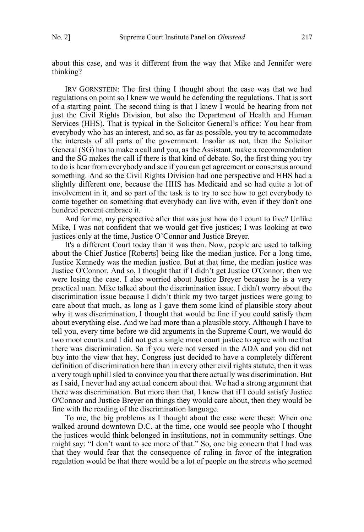about this case, and was it different from the way that Mike and Jennifer were thinking?

IRV GORNSTEIN: The first thing I thought about the case was that we had regulations on point so I knew we would be defending the regulations. That is sort of a starting point. The second thing is that I knew I would be hearing from not just the Civil Rights Division, but also the Department of Health and Human Services (HHS). That is typical in the Solicitor General's office: You hear from everybody who has an interest, and so, as far as possible, you try to accommodate the interests of all parts of the government. Insofar as not, then the Solicitor General (SG) has to make a call and you, as the Assistant, make a recommendation and the SG makes the call if there is that kind of debate. So, the first thing you try to do is hear from everybody and see if you can get agreement or consensus around something. And so the Civil Rights Division had one perspective and HHS had a slightly different one, because the HHS has Medicaid and so had quite a lot of involvement in it, and so part of the task is to try to see how to get everybody to come together on something that everybody can live with, even if they don't one hundred percent embrace it.

And for me, my perspective after that was just how do I count to five? Unlike Mike, I was not confident that we would get five justices; I was looking at two justices only at the time, Justice O'Connor and Justice Breyer.

It's a different Court today than it was then. Now, people are used to talking about the Chief Justice [Roberts] being like the median justice. For a long time, Justice Kennedy was the median justice. But at that time, the median justice was Justice O'Connor. And so, I thought that if I didn't get Justice O'Connor, then we were losing the case. I also worried about Justice Breyer because he is a very practical man. Mike talked about the discrimination issue. I didn't worry about the discrimination issue because I didn't think my two target justices were going to care about that much, as long as I gave them some kind of plausible story about why it was discrimination, I thought that would be fine if you could satisfy them about everything else. And we had more than a plausible story. Although I have to tell you, every time before we did arguments in the Supreme Court, we would do two moot courts and I did not get a single moot court justice to agree with me that there was discrimination. So if you were not versed in the ADA and you did not buy into the view that hey, Congress just decided to have a completely different definition of discrimination here than in every other civil rights statute, then it was a very tough uphill sled to convince you that there actually was discrimination. But as I said, I never had any actual concern about that. We had a strong argument that there was discrimination. But more than that, I knew that if I could satisfy Justice O'Connor and Justice Breyer on things they would care about, then they would be fine with the reading of the discrimination language.

To me, the big problems as I thought about the case were these: When one walked around downtown D.C. at the time, one would see people who I thought the justices would think belonged in institutions, not in community settings. One might say: "I don't want to see more of that." So, one big concern that I had was that they would fear that the consequence of ruling in favor of the integration regulation would be that there would be a lot of people on the streets who seemed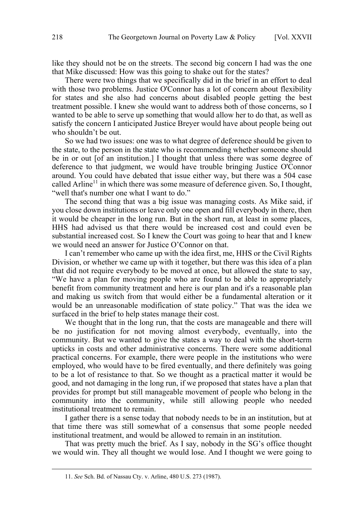like they should not be on the streets. The second big concern I had was the one that Mike discussed: How was this going to shake out for the states?

There were two things that we specifically did in the brief in an effort to deal with those two problems. Justice O'Connor has a lot of concern about flexibility for states and she also had concerns about disabled people getting the best treatment possible. I knew she would want to address both of those concerns, so I wanted to be able to serve up something that would allow her to do that, as well as satisfy the concern I anticipated Justice Breyer would have about people being out who shouldn't be out.

So we had two issues: one was to what degree of deference should be given to the state, to the person in the state who is recommending whether someone should be in or out [of an institution.] I thought that unless there was some degree of deference to that judgment, we would have trouble bringing Justice O'Connor around. You could have debated that issue either way, but there was a 504 case called Arline<sup>11</sup> in which there was some measure of deference given. So, I thought, "well that's number one what I want to do."

The second thing that was a big issue was managing costs. As Mike said, if you close down institutions or leave only one open and fill everybody in there, then it would be cheaper in the long run. But in the short run, at least in some places, HHS had advised us that there would be increased cost and could even be substantial increased cost. So I knew the Court was going to hear that and I knew we would need an answer for Justice O'Connor on that.

I can't remember who came up with the idea first, me, HHS or the Civil Rights Division, or whether we came up with it together, but there was this idea of a plan that did not require everybody to be moved at once, but allowed the state to say, "We have a plan for moving people who are found to be able to appropriately benefit from community treatment and here is our plan and it's a reasonable plan and making us switch from that would either be a fundamental alteration or it would be an unreasonable modification of state policy." That was the idea we surfaced in the brief to help states manage their cost.

We thought that in the long run, that the costs are manageable and there will be no justification for not moving almost everybody, eventually, into the community. But we wanted to give the states a way to deal with the short-term upticks in costs and other administrative concerns. There were some additional practical concerns. For example, there were people in the institutions who were employed, who would have to be fired eventually, and there definitely was going to be a lot of resistance to that. So we thought as a practical matter it would be good, and not damaging in the long run, if we proposed that states have a plan that provides for prompt but still manageable movement of people who belong in the community into the community, while still allowing people who needed institutional treatment to remain.

I gather there is a sense today that nobody needs to be in an institution, but at that time there was still somewhat of a consensus that some people needed institutional treatment, and would be allowed to remain in an institution.

That was pretty much the brief. As I say, nobody in the SG's office thought we would win. They all thought we would lose. And I thought we were going to

 <sup>11.</sup> *See* Sch. Bd. of Nassau Cty. v. Arline, 480 U.S. 273 (1987).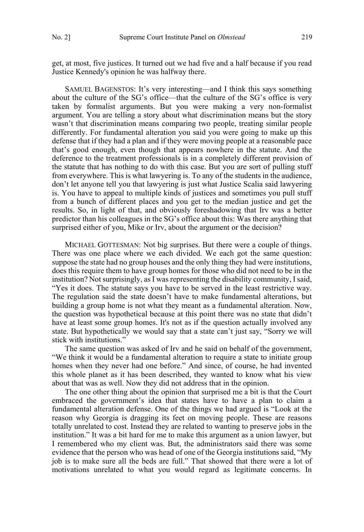get, at most, five justices. It turned out we had five and a half because if you read Justice Kennedy's opinion he was halfway there.

SAMUEL BAGENSTOS: It's very interesting—and I think this says something about the culture of the SG's office—that the culture of the SG's office is very taken by formalist arguments. But you were making a very non-formalist argument. You are telling a story about what discrimination means but the story wasn't that discrimination means comparing two people, treating similar people differently. For fundamental alteration you said you were going to make up this defense that if they had a plan and if they were moving people at a reasonable pace that's good enough, even though that appears nowhere in the statute. And the deference to the treatment professionals is in a completely different provision of the statute that has nothing to do with this case. But you are sort of pulling stuff from everywhere. This is what lawyering is. To any of the students in the audience, don't let anyone tell you that lawyering is just what Justice Scalia said lawyering is. You have to appeal to multiple kinds of justices and sometimes you pull stuff from a bunch of different places and you get to the median justice and get the results. So, in light of that, and obviously foreshadowing that Irv was a better predictor than his colleagues in the SG's office about this: Was there anything that surprised either of you, Mike or Irv, about the argument or the decision?

MICHAEL GOTTESMAN: Not big surprises. But there were a couple of things. There was one place where we each divided. We each got the same question: suppose the state had no group houses and the only thing they had were institutions, does this require them to have group homes for those who did not need to be in the institution? Not surprisingly, as I was representing the disability community, I said, "Yes it does. The statute says you have to be served in the least restrictive way. The regulation said the state doesn't have to make fundamental alterations, but building a group home is not what they meant as a fundamental alteration. Now, the question was hypothetical because at this point there was no state that didn't have at least some group homes. It's not as if the question actually involved any state. But hypothetically we would say that a state can't just say, "Sorry we will stick with institutions."

The same question was asked of Irv and he said on behalf of the government, "We think it would be a fundamental alteration to require a state to initiate group homes when they never had one before." And since, of course, he had invented this whole planet as it has been described, they wanted to know what his view about that was as well. Now they did not address that in the opinion.

The one other thing about the opinion that surprised me a bit is that the Court embraced the government's idea that states have to have a plan to claim a fundamental alteration defense. One of the things we had argued is "Look at the reason why Georgia is dragging its feet on moving people. These are reasons totally unrelated to cost. Instead they are related to wanting to preserve jobs in the institution." It was a bit hard for me to make this argument as a union lawyer, but I remembered who my client was. But, the administrators said there was some evidence that the person who was head of one of the Georgia institutions said, "My job is to make sure all the beds are full." That showed that there were a lot of motivations unrelated to what you would regard as legitimate concerns. In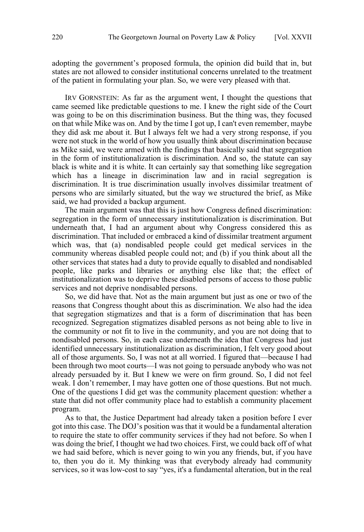adopting the government's proposed formula, the opinion did build that in, but states are not allowed to consider institutional concerns unrelated to the treatment of the patient in formulating your plan. So, we were very pleased with that.

IRV GORNSTEIN: As far as the argument went, I thought the questions that came seemed like predictable questions to me. I knew the right side of the Court was going to be on this discrimination business. But the thing was, they focused on that while Mike was on. And by the time I got up, I can't even remember, maybe they did ask me about it. But I always felt we had a very strong response, if you were not stuck in the world of how you usually think about discrimination because as Mike said, we were armed with the findings that basically said that segregation in the form of institutionalization is discrimination. And so, the statute can say black is white and it is white. It can certainly say that something like segregation which has a lineage in discrimination law and in racial segregation is discrimination. It is true discrimination usually involves dissimilar treatment of persons who are similarly situated, but the way we structured the brief, as Mike said, we had provided a backup argument.

The main argument was that this is just how Congress defined discrimination: segregation in the form of unnecessary institutionalization is discrimination. But underneath that, I had an argument about why Congress considered this as discrimination. That included or embraced a kind of dissimilar treatment argument which was, that (a) nondisabled people could get medical services in the community whereas disabled people could not; and (b) if you think about all the other services that states had a duty to provide equally to disabled and nondisabled people, like parks and libraries or anything else like that; the effect of institutionalization was to deprive these disabled persons of access to those public services and not deprive nondisabled persons.

So, we did have that. Not as the main argument but just as one or two of the reasons that Congress thought about this as discrimination. We also had the idea that segregation stigmatizes and that is a form of discrimination that has been recognized. Segregation stigmatizes disabled persons as not being able to live in the community or not fit to live in the community, and you are not doing that to nondisabled persons. So, in each case underneath the idea that Congress had just identified unnecessary institutionalization as discrimination, I felt very good about all of those arguments. So, I was not at all worried. I figured that—because I had been through two moot courts—I was not going to persuade anybody who was not already persuaded by it. But I knew we were on firm ground. So, I did not feel weak. I don't remember, I may have gotten one of those questions. But not much. One of the questions I did get was the community placement question: whether a state that did not offer community place had to establish a community placement program.

As to that, the Justice Department had already taken a position before I ever got into this case. The DOJ's position was that it would be a fundamental alteration to require the state to offer community services if they had not before. So when I was doing the brief, I thought we had two choices. First, we could back off of what we had said before, which is never going to win you any friends, but, if you have to, then you do it. My thinking was that everybody already had community services, so it was low-cost to say "yes, it's a fundamental alteration, but in the real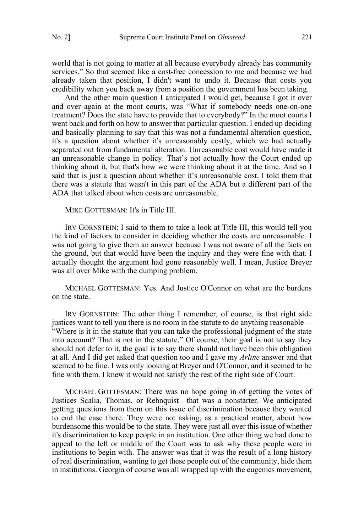world that is not going to matter at all because everybody already has community services." So that seemed like a cost-free concession to me and because we had already taken that position, I didn't want to undo it. Because that costs you credibility when you back away from a position the government has been taking.

And the other main question I anticipated I would get, because I got it over and over again at the moot courts, was "What if somebody needs one-on-one treatment? Does the state have to provide that to everybody?" In the moot courts I went back and forth on how to answer that particular question. I ended up deciding and basically planning to say that this was not a fundamental alteration question, it's a question about whether it's unreasonably costly, which we had actually separated out from fundamental alteration. Unreasonable cost would have made it an unreasonable change in policy. That's not actually how the Court ended up thinking about it, but that's how we were thinking about it at the time. And so I said that is just a question about whether it's unreasonable cost. I told them that there was a statute that wasn't in this part of the ADA but a different part of the ADA that talked about when costs are unreasonable.

MIKE GOTTESMAN: It's in Title III.

IRV GORNSTEIN: I said to them to take a look at Title III, this would tell you the kind of factors to consider in deciding whether the costs are unreasonable. I was not going to give them an answer because I was not aware of all the facts on the ground, but that would have been the inquiry and they were fine with that. I actually thought the argument had gone reasonably well. I mean, Justice Breyer was all over Mike with the dumping problem.

MICHAEL GOTTESMAN: Yes. And Justice O'Connor on what are the burdens on the state.

IRV GORNSTEIN: The other thing I remember, of course, is that right side justices want to tell you there is no room in the statute to do anything reasonable— "Where is it in the statute that you can take the professional judgment of the state into account? That is not in the statute." Of course, their goal is not to say they should not defer to it, the goal is to say there should not have been this obligation at all. And I did get asked that question too and I gave my *Arline* answer and that seemed to be fine. I was only looking at Breyer and O'Connor, and it seemed to be fine with them. I knew it would not satisfy the rest of the right side of Court.

MICHAEL GOTTESMAN: There was no hope going in of getting the votes of Justices Scalia, Thomas, or Rehnquist—that was a nonstarter. We anticipated getting questions from them on this issue of discrimination because they wanted to end the case there. They were not asking, as a practical matter, about how burdensome this would be to the state. They were just all over this issue of whether it's discrimination to keep people in an institution. One other thing we had done to appeal to the left or middle of the Court was to ask why these people were in institutions to begin with. The answer was that it was the result of a long history of real discrimination, wanting to get these people out of the community, hide them in institutions. Georgia of course was all wrapped up with the eugenics movement,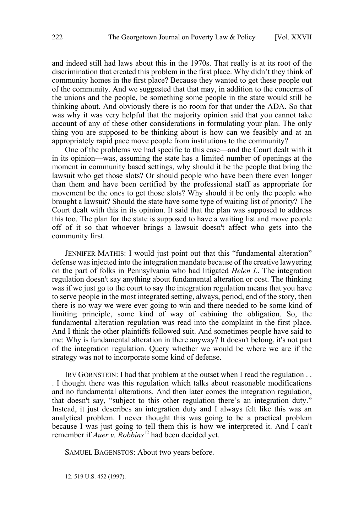and indeed still had laws about this in the 1970s. That really is at its root of the discrimination that created this problem in the first place. Why didn't they think of community homes in the first place? Because they wanted to get these people out of the community. And we suggested that that may, in addition to the concerns of the unions and the people, be something some people in the state would still be thinking about. And obviously there is no room for that under the ADA. So that was why it was very helpful that the majority opinion said that you cannot take account of any of these other considerations in formulating your plan. The only thing you are supposed to be thinking about is how can we feasibly and at an appropriately rapid pace move people from institutions to the community?

One of the problems we had specific to this case—and the Court dealt with it in its opinion—was, assuming the state has a limited number of openings at the moment in community based settings, why should it be the people that bring the lawsuit who get those slots? Or should people who have been there even longer than them and have been certified by the professional staff as appropriate for movement be the ones to get those slots? Why should it be only the people who brought a lawsuit? Should the state have some type of waiting list of priority? The Court dealt with this in its opinion. It said that the plan was supposed to address this too. The plan for the state is supposed to have a waiting list and move people off of it so that whoever brings a lawsuit doesn't affect who gets into the community first.

JENNIFER MATHIS: I would just point out that this "fundamental alteration" defense was injected into the integration mandate because of the creative lawyering on the part of folks in Pennsylvania who had litigated *Helen L*. The integration regulation doesn't say anything about fundamental alteration or cost. The thinking was if we just go to the court to say the integration regulation means that you have to serve people in the most integrated setting, always, period, end of the story, then there is no way we were ever going to win and there needed to be some kind of limiting principle, some kind of way of cabining the obligation. So, the fundamental alteration regulation was read into the complaint in the first place. And I think the other plaintiffs followed suit. And sometimes people have said to me: Why is fundamental alteration in there anyway? It doesn't belong, it's not part of the integration regulation. Query whether we would be where we are if the strategy was not to incorporate some kind of defense.

IRV GORNSTEIN: I had that problem at the outset when I read the regulation . . . I thought there was this regulation which talks about reasonable modifications and no fundamental alterations. And then later comes the integration regulation, that doesn't say, "subject to this other regulation there's an integration duty." Instead, it just describes an integration duty and I always felt like this was an analytical problem. I never thought this was going to be a practical problem because I was just going to tell them this is how we interpreted it. And I can't remember if *Auer v. Robbins*<sup>12</sup> had been decided yet.

SAMUEL BAGENSTOS: About two years before.

 <sup>12. 519</sup> U.S. 452 (1997).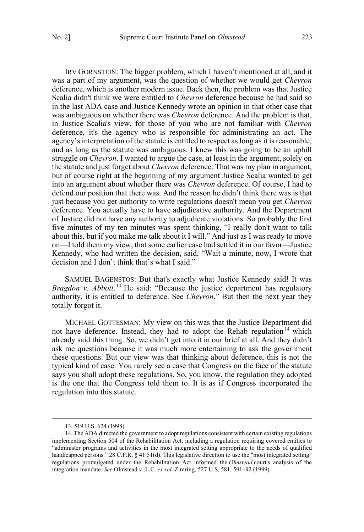IRV GORNSTEIN: The bigger problem, which I haven't mentioned at all, and it was a part of my argument, was the question of whether we would get *Chevron* deference, which is another modern issue. Back then, the problem was that Justice Scalia didn't think we were entitled to *Chevron* deference because he had said so in the last ADA case and Justice Kennedy wrote an opinion in that other case that was ambiguous on whether there was *Chevron* deference. And the problem is that, in Justice Scalia's view, for those of you who are not familiar with *Chevron* deference, it's the agency who is responsible for administrating an act. The agency's interpretation of the statute is entitled to respect as long as it is reasonable, and as long as the statute was ambiguous. I knew this was going to be an uphill struggle on *Chevron*. I wanted to argue the case, at least in the argument, solely on the statute and just forget about *Chevron* deference. That was my plan in argument, but of course right at the beginning of my argument Justice Scalia wanted to get into an argument about whether there was *Chevron* deference. Of course, I had to defend our position that there was. And the reason he didn't think there was is that just because you get authority to write regulations doesn't mean you get *Chevron* deference. You actually have to have adjudicative authority. And the Department of Justice did not have any authority to adjudicate violations. So probably the first five minutes of my ten minutes was spent thinking, "I really don't want to talk about this, but if you make me talk about it I will." And just as I was ready to move on—I told them my view, that some earlier case had settled it in our favor—Justice Kennedy, who had written the decision, said, "Wait a minute, now, I wrote that decision and I don't think that's what I said."

SAMUEL BAGENSTOS: But that's exactly what Justice Kennedy said! It was *Bragdon v. Abbott*. <sup>13</sup> He said: "Because the justice department has regulatory authority, it is entitled to deference. See *Chevron*." But then the next year they totally forgot it.

MICHAEL GOTTESMAN: My view on this was that the Justice Department did not have deference. Instead, they had to adopt the Rehab regulation<sup>14</sup> which already said this thing. So, we didn't get into it in our brief at all. And they didn't ask me questions because it was much more entertaining to ask the government these questions. But our view was that thinking about deference, this is not the typical kind of case. You rarely see a case that Congress on the face of the statute says you shall adopt these regulations. So, you know, the regulation they adopted is the one that the Congress told them to. It is as if Congress incorporated the regulation into this statute.

 <sup>13. 519</sup> U.S. 624 (1998).

<sup>14.</sup> The ADA directed the government to adopt regulations consistent with certain existing regulations implementing Section 504 of the Rehabilitation Act, including a regulation requiring covered entities to "administer programs and activities in the most integrated setting appropriate to the needs of qualified handicapped persons." 28 C.F.R. § 41.51(d). This legislative direction to use the "most integrated setting" regulations promulgated under the Rehabilitation Act informed the *Olmstead* court's analysis of the integration mandate. *See* Olmstead v. L.C. *ex rel.* Zimring, 527 U.S. 581, 591–92 (1999).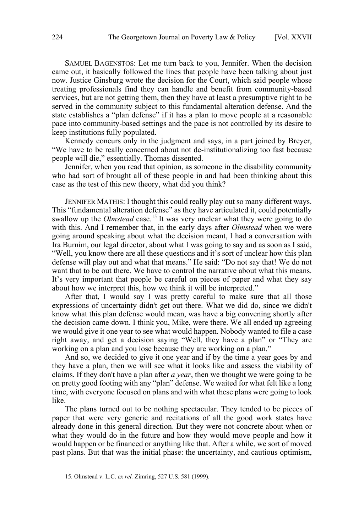SAMUEL BAGENSTOS: Let me turn back to you, Jennifer. When the decision came out, it basically followed the lines that people have been talking about just now. Justice Ginsburg wrote the decision for the Court, which said people whose treating professionals find they can handle and benefit from community-based services, but are not getting them, then they have at least a presumptive right to be served in the community subject to this fundamental alteration defense. And the state establishes a "plan defense" if it has a plan to move people at a reasonable pace into community-based settings and the pace is not controlled by its desire to keep institutions fully populated.

Kennedy concurs only in the judgment and says, in a part joined by Breyer, "We have to be really concerned about not de-institutionalizing too fast because people will die," essentially. Thomas dissented.

Jennifer, when you read that opinion, as someone in the disability community who had sort of brought all of these people in and had been thinking about this case as the test of this new theory, what did you think?

JENNIFER MATHIS: I thought this could really play out so many different ways. This "fundamental alteration defense" as they have articulated it, could potentially swallow up the *Olmstead* case.<sup>15</sup> It was very unclear what they were going to do with this. And I remember that, in the early days after *Olmstead* when we were going around speaking about what the decision meant, I had a conversation with Ira Burnim, our legal director, about what I was going to say and as soon as I said, "Well, you know there are all these questions and it's sort of unclear how this plan defense will play out and what that means." He said: "Do not say that! We do not want that to be out there. We have to control the narrative about what this means. It's very important that people be careful on pieces of paper and what they say about how we interpret this, how we think it will be interpreted."

After that, I would say I was pretty careful to make sure that all those expressions of uncertainty didn't get out there. What we did do, since we didn't know what this plan defense would mean, was have a big convening shortly after the decision came down. I think you, Mike, were there. We all ended up agreeing we would give it one year to see what would happen. Nobody wanted to file a case right away, and get a decision saying "Well, they have a plan" or "They are working on a plan and you lose because they are working on a plan."

And so, we decided to give it one year and if by the time a year goes by and they have a plan, then we will see what it looks like and assess the viability of claims. If they don't have a plan after *a year*, then we thought we were going to be on pretty good footing with any "plan" defense. We waited for what felt like a long time, with everyone focused on plans and with what these plans were going to look like.

The plans turned out to be nothing spectacular. They tended to be pieces of paper that were very generic and recitations of all the good work states have already done in this general direction. But they were not concrete about when or what they would do in the future and how they would move people and how it would happen or be financed or anything like that. After a while, we sort of moved past plans. But that was the initial phase: the uncertainty, and cautious optimism,

 <sup>15.</sup> Olmstead v. L.C. *ex rel.* Zimring, 527 U.S. 581 (1999).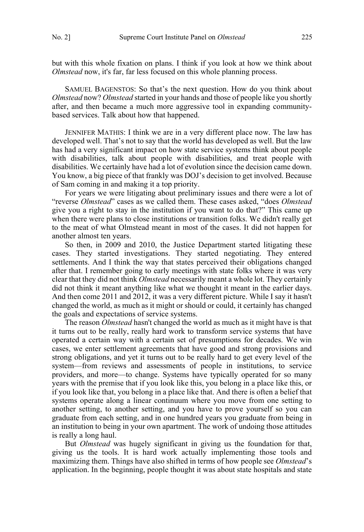but with this whole fixation on plans. I think if you look at how we think about *Olmstead* now, it's far, far less focused on this whole planning process.

SAMUEL BAGENSTOS: So that's the next question. How do you think about *Olmstead* now? *Olmstead* started in your hands and those of people like you shortly after, and then became a much more aggressive tool in expanding communitybased services. Talk about how that happened.

JENNIFER MATHIS: I think we are in a very different place now. The law has developed well. That's not to say that the world has developed as well. But the law has had a very significant impact on how state service systems think about people with disabilities, talk about people with disabilities, and treat people with disabilities. We certainly have had a lot of evolution since the decision came down. You know, a big piece of that frankly was DOJ's decision to get involved. Because of Sam coming in and making it a top priority.

For years we were litigating about preliminary issues and there were a lot of "reverse *Olmstead*" cases as we called them. These cases asked, "does *Olmstead* give you a right to stay in the institution if you want to do that?" This came up when there were plans to close institutions or transition folks. We didn't really get to the meat of what Olmstead meant in most of the cases. It did not happen for another almost ten years.

So then, in 2009 and 2010, the Justice Department started litigating these cases. They started investigations. They started negotiating. They entered settlements. And I think the way that states perceived their obligations changed after that. I remember going to early meetings with state folks where it was very clear that they did not think *Olmstead* necessarily meant a whole lot. They certainly did not think it meant anything like what we thought it meant in the earlier days. And then come 2011 and 2012, it was a very different picture. While I say it hasn't changed the world, as much as it might or should or could, it certainly has changed the goals and expectations of service systems.

The reason *Olmstead* hasn't changed the world as much as it might have is that it turns out to be really, really hard work to transform service systems that have operated a certain way with a certain set of presumptions for decades. We win cases, we enter settlement agreements that have good and strong provisions and strong obligations, and yet it turns out to be really hard to get every level of the system—from reviews and assessments of people in institutions, to service providers, and more—to change. Systems have typically operated for so many years with the premise that if you look like this, you belong in a place like this, or if you look like that, you belong in a place like that. And there is often a belief that systems operate along a linear continuum where you move from one setting to another setting, to another setting, and you have to prove yourself so you can graduate from each setting, and in one hundred years you graduate from being in an institution to being in your own apartment. The work of undoing those attitudes is really a long haul.

But *Olmstead* was hugely significant in giving us the foundation for that, giving us the tools. It is hard work actually implementing those tools and maximizing them. Things have also shifted in terms of how people see *Olmstead*'s application. In the beginning, people thought it was about state hospitals and state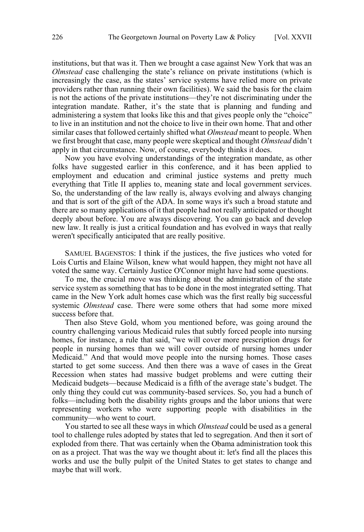institutions, but that was it. Then we brought a case against New York that was an *Olmstead* case challenging the state's reliance on private institutions (which is increasingly the case, as the states' service systems have relied more on private providers rather than running their own facilities). We said the basis for the claim is not the actions of the private institutions—they're not discriminating under the integration mandate. Rather, it's the state that is planning and funding and administering a system that looks like this and that gives people only the "choice" to live in an institution and not the choice to live in their own home. That and other similar cases that followed certainly shifted what *Olmstead* meant to people. When we first brought that case, many people were skeptical and thought *Olmstead* didn't apply in that circumstance. Now, of course, everybody thinks it does.

Now you have evolving understandings of the integration mandate, as other folks have suggested earlier in this conference, and it has been applied to employment and education and criminal justice systems and pretty much everything that Title II applies to, meaning state and local government services. So, the understanding of the law really is, always evolving and always changing and that is sort of the gift of the ADA. In some ways it's such a broad statute and there are so many applications of it that people had not really anticipated or thought deeply about before. You are always discovering. You can go back and develop new law. It really is just a critical foundation and has evolved in ways that really weren't specifically anticipated that are really positive.

SAMUEL BAGENSTOS: I think if the justices, the five justices who voted for Lois Curtis and Elaine Wilson, knew what would happen, they might not have all voted the same way. Certainly Justice O'Connor might have had some questions.

To me, the crucial move was thinking about the administration of the state service system as something that has to be done in the most integrated setting. That came in the New York adult homes case which was the first really big successful systemic *Olmstead* case. There were some others that had some more mixed success before that.

Then also Steve Gold, whom you mentioned before, was going around the country challenging various Medicaid rules that subtly forced people into nursing homes, for instance, a rule that said, "we will cover more prescription drugs for people in nursing homes than we will cover outside of nursing homes under Medicaid." And that would move people into the nursing homes. Those cases started to get some success. And then there was a wave of cases in the Great Recession when states had massive budget problems and were cutting their Medicaid budgets—because Medicaid is a fifth of the average state's budget. The only thing they could cut was community-based services. So, you had a bunch of folks—including both the disability rights groups and the labor unions that were representing workers who were supporting people with disabilities in the community—who went to court.

You started to see all these ways in which *Olmstead* could be used as a general tool to challenge rules adopted by states that led to segregation. And then it sort of exploded from there. That was certainly when the Obama administration took this on as a project. That was the way we thought about it: let's find all the places this works and use the bully pulpit of the United States to get states to change and maybe that will work.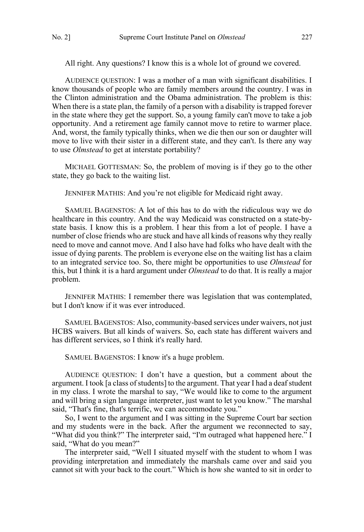All right. Any questions? I know this is a whole lot of ground we covered.

AUDIENCE QUESTION: I was a mother of a man with significant disabilities. I know thousands of people who are family members around the country. I was in the Clinton administration and the Obama administration. The problem is this: When there is a state plan, the family of a person with a disability is trapped forever in the state where they get the support. So, a young family can't move to take a job opportunity. And a retirement age family cannot move to retire to warmer place. And, worst, the family typically thinks, when we die then our son or daughter will move to live with their sister in a different state, and they can't. Is there any way to use *Olmstead* to get at interstate portability?

MICHAEL GOTTESMAN: So, the problem of moving is if they go to the other state, they go back to the waiting list.

JENNIFER MATHIS: And you're not eligible for Medicaid right away.

SAMUEL BAGENSTOS: A lot of this has to do with the ridiculous way we do healthcare in this country. And the way Medicaid was constructed on a state-bystate basis. I know this is a problem. I hear this from a lot of people. I have a number of close friends who are stuck and have all kinds of reasons why they really need to move and cannot move. And I also have had folks who have dealt with the issue of dying parents. The problem is everyone else on the waiting list has a claim to an integrated service too. So, there might be opportunities to use *Olmstead* for this, but I think it is a hard argument under *Olmstead* to do that. It is really a major problem.

JENNIFER MATHIS: I remember there was legislation that was contemplated, but I don't know if it was ever introduced.

SAMUEL BAGENSTOS: Also, community-based services under waivers, not just HCBS waivers. But all kinds of waivers. So, each state has different waivers and has different services, so I think it's really hard.

SAMUEL BAGENSTOS: I know it's a huge problem.

AUDIENCE QUESTION: I don't have a question, but a comment about the argument. I took [a class of students] to the argument. That year I had a deaf student in my class. I wrote the marshal to say, "We would like to come to the argument and will bring a sign language interpreter, just want to let you know." The marshal said, "That's fine, that's terrific, we can accommodate you."

So, I went to the argument and I was sitting in the Supreme Court bar section and my students were in the back. After the argument we reconnected to say, "What did you think?" The interpreter said, "I'm outraged what happened here." I said, "What do you mean?"

The interpreter said, "Well I situated myself with the student to whom I was providing interpretation and immediately the marshals came over and said you cannot sit with your back to the court." Which is how she wanted to sit in order to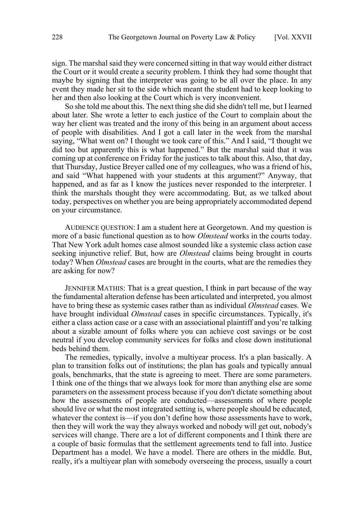sign. The marshal said they were concerned sitting in that way would either distract the Court or it would create a security problem. I think they had some thought that maybe by signing that the interpreter was going to be all over the place. In any event they made her sit to the side which meant the student had to keep looking to her and then also looking at the Court which is very inconvenient.

So she told me about this. The next thing she did she didn't tell me, but I learned about later. She wrote a letter to each justice of the Court to complain about the way her client was treated and the irony of this being in an argument about access of people with disabilities. And I got a call later in the week from the marshal saying, "What went on? I thought we took care of this." And I said, "I thought we did too but apparently this is what happened." But the marshal said that it was coming up at conference on Friday for the justices to talk about this. Also, that day, that Thursday, Justice Breyer called one of my colleagues, who was a friend of his, and said "What happened with your students at this argument?" Anyway, that happened, and as far as I know the justices never responded to the interpreter. I think the marshals thought they were accommodating. But, as we talked about today, perspectives on whether you are being appropriately accommodated depend on your circumstance.

AUDIENCE QUESTION: I am a student here at Georgetown. And my question is more of a basic functional question as to how *Olmstead* works in the courts today. That New York adult homes case almost sounded like a systemic class action case seeking injunctive relief. But, how are *Olmstead* claims being brought in courts today? When *Olmstead* cases are brought in the courts, what are the remedies they are asking for now?

JENNIFER MATHIS: That is a great question, I think in part because of the way the fundamental alteration defense has been articulated and interpreted, you almost have to bring these as systemic cases rather than as individual *Olmstead* cases. We have brought individual *Olmstead* cases in specific circumstances. Typically, it's either a class action case or a case with an associational plaintiff and you're talking about a sizable amount of folks where you can achieve cost savings or be cost neutral if you develop community services for folks and close down institutional beds behind them.

The remedies, typically, involve a multiyear process. It's a plan basically. A plan to transition folks out of institutions; the plan has goals and typically annual goals, benchmarks, that the state is agreeing to meet. There are some parameters. I think one of the things that we always look for more than anything else are some parameters on the assessment process because if you don't dictate something about how the assessments of people are conducted—assessments of where people should live or what the most integrated setting is, where people should be educated, whatever the context is—if you don't define how those assessments have to work, then they will work the way they always worked and nobody will get out, nobody's services will change. There are a lot of different components and I think there are a couple of basic formulas that the settlement agreements tend to fall into. Justice Department has a model. We have a model. There are others in the middle. But, really, it's a multiyear plan with somebody overseeing the process, usually a court